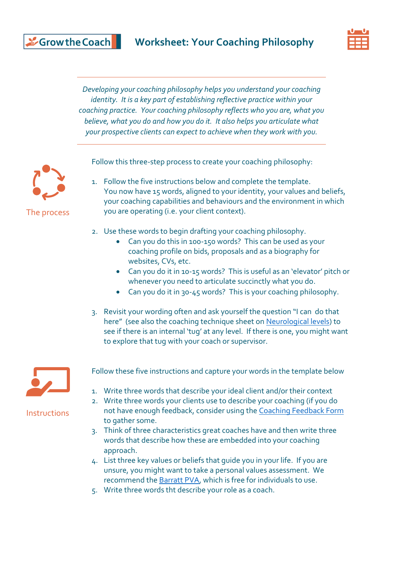

*Developing your coaching philosophy helps you understand your coaching identity. It is a key part of establishing reflective practice within your coaching practice. Your coaching philosophy reflects who you are, what you believe, what you do and how you do it. It also helps you articulate what your prospective clients can expect to achieve when they work with you.*

Follow this three-step process to create your coaching philosophy:



1. Follow the five instructions below and complete the template. You now have 15 words, aligned to your identity, your values and beliefs, your coaching capabilities and behaviours and the environment in which you are operating (i.e. your client context).

- 2. Use these words to begin drafting your coaching philosophy.
	- Can you do this in 100-150 words? This can be used as your coaching profile on bids, proposals and as a biography for websites, CVs, etc.
	- Can you do it in 10-15 words? This is useful as an 'elevator' pitch or whenever you need to articulate succinctly what you do.
	- Can you do it in 30-45 words? This is your coaching philosophy.
- 3. Revisit your wording often and ask yourself the question "I can do that here" (see also the coaching technique sheet on [Neurological levels\)](https://growthecoach.com/wp-content/uploads/2020/04/Neurological-levels.pdf) to see if there is an internal 'tug' at any level. If there is one, you might want to explore that tug with your coach or supervisor.



**Instructions** 

Follow these five instructions and capture your words in the template below

- 1. Write three words that describe your ideal client and/or their context
- 2. Write three words your clients use to describe your coaching (if you do not have enough feedback, consider using th[e Coaching Feedback Form](https://growthecoach.com/wp-content/uploads/2020/04/Coaching-feedback-template.pdf) to gather some.
- 3. Think of three characteristics great coaches have and then write three words that describe how these are embedded into your coaching approach.
- 4. List three key values or beliefs that guide you in your life. If you are unsure, you might want to take a personal values assessment. We recommend the [Barratt](https://www.valuescentre.com/tools-assessments/pva/) PVA, which is free for individuals to use.
- 5. Write three words tht describe your role as a coach.